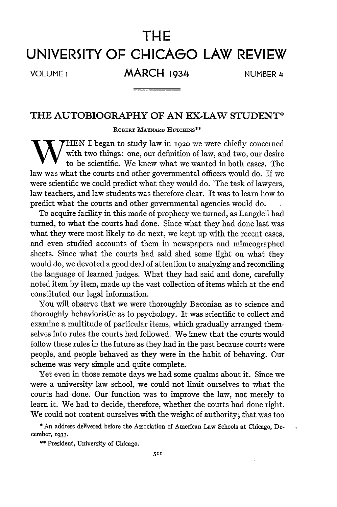## **THE**

## **UNIVERSITY OF CHICAGO LAW REVIEW**

VOLUMEi **MARCH 1934 NUMBER** 4

## **THE AUTOBIOGRAPHY OF AN EX-LAW STUDENT\***

**ROBERT MAYNARD** HUTCHINS\*\*

WWHEN I began to study law in 1920 we were chiefly concerned<br>with two things: one, our definition of law, and two, our desire to be scientific. We knew what we wanted in both cases. The law was what the courts and other governmental officers would do. If we were scientific we could predict what they would do. The task of lawyers, law teachers, and law students was therefore clear. It was to learn how to predict what the courts and other governmental agencies would do.

To acquire facility in this mode of prophecy we turned, as Langdell had turned, to what the courts had done. Since what they had done last was what they were most likely to do next, we kept up with the recent cases, and even studied accounts of them in newspapers and mimeographed sheets. Since what the courts had said shed some light on what they would do, we devoted a good deal of attention to analyzing and reconciling the language of learned judges. What they had said and done, carefully noted item by item, made up the vast collection of items which at the end constituted our legal information.

You will observe that we were thoroughly Baconian as to science and thoroughly behavioristic as to psychology. It was scientific to collect and examine a multitude of particular items, which gradually arranged themselves into rules the courts had followed. We knew that the courts would follow these rules in the future as they had in the past because courts were people, and people behaved as they were in the habit of behaving. Our scheme was very simple and quite complete.

Yet even in those remote days we had some qualms about it. Since we were a university law school, we could not limit ourselves to what the courts had done. Our function was to improve the law, not merely to learn it. We had to decide, therefore, whether the courts had done right. We could not content ourselves with the weight of authority; that was too

**\*** An address delivered before the Association of American Law Schools at Chicago, December, 1933.

\*\* President, University of Chicago.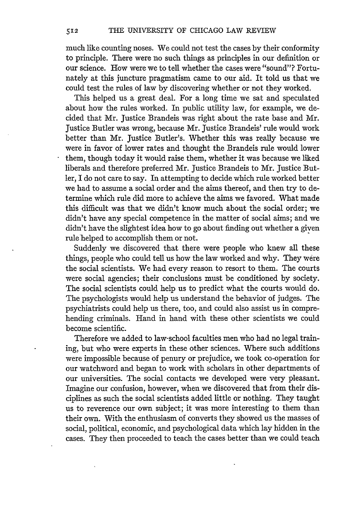much like counting noses. We could not test the cases by their conformity to principle. There were no such things as principles in our definition or our science. How were we to tell whether the cases were "sound"? Fortunately at this juncture pragmatism came to our aid. It told us that we could test the rules of law by discovering whether or not they worked.

This helped us a great deal. For a long time we sat and speculated about how the rules worked. In public utility law, for example, we decided that Mr. Justice Brandeis was right about the rate base and Mr. Justice Butler was wrong, because Mr. Justice Brandeis' rule would work better than Mr. Justice Butler's. Whether this was really because we were in favor of lower rates and thought the Brandeis rule would lower them, though today it would raise them, whether it was because we liked liberals and therefore preferred Mr. Justice Brandeis to Mr. Justice Butler, I do not care to say. In attempting to decide which rule worked better we had to assume a social order and the aims thereof, and then try to determine which rule did more to achieve the aims we favored. What made this difficult was that we didn't know much about the social order; we didn't have any special competence in the matter of social aims; and we didn't have the slightest idea how to go about finding out whether a given rule helped to accomplish them or not.

Suddenly we discovered that there were people who knew all these things, people who could tell us how the law worked and why. They were the social scientists. We had every reason to resort to them. The courts were social agencies; their conclusions must be conditioned by society. The social scientists could help us to predict what the courts would do. The psychologists would help us understand the behavior of judges. The psychiatrists could help us there, too, and could also assist us in comprehending criminals. Hand in hand with these other scientists we could become scientific.

Therefore we added to law-school faculties men who had no legal training, but who were experts in these other sciences. Where such additions were impossible because of penury or prejudice, we took co-operation for our watchword and began to work with scholars in other departments of our universities. The social contacts we developed were very pleasant. Imagine our confusion, however, when we discovered that from their disciplines as such the social scientists added little or nothing. They taught us to reverence our own subject; it was more interesting to them than their own. With the enthusiasm of converts they showed us the masses of social, political, economic, and psychological data which lay hidden in the cases. They then proceeded to teach the cases better than we could teach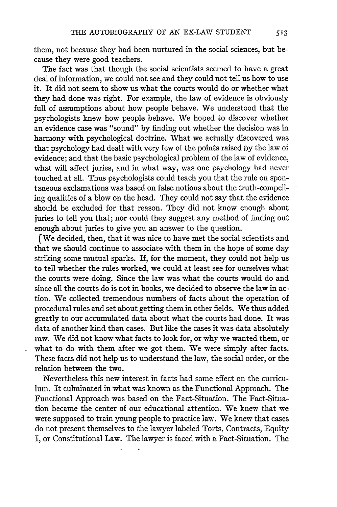them, not because they had been nurtured in the social sciences, but because they were good teachers.

The fact was that though the social scientists seemed to have a great deal of information, we could not see and they could not tell us how to use it. It did not seem to show us what the courts would do or whether what they had done was right. For example, the law of evidence is obviously full of assumptions about how people behave. We understood that the psychologists knew how people behave. We hoped to discover whether an evidence case was "sound" by finding out whether the decision was in harmony with psychological doctrine. What we actually discovered was that psychology had dealt with very few of the points raised by the law of evidence; and that the basic psychological problem of the law of evidence, what will affect juries, and in what way, was one psychology had never touched at all. Thus psychologists could teach you that the rule on spontaneous exclamations was based on false notions about the truth-compelling qualities of a blow on the head. They could not say that the evidence should be excluded for that reason. They did not know enough about juries to tell you that; nor could they suggest any method of finding out enough about juries to give you an answer to the question.

(We decided, then, that it was nice to have met the social scientists and that we should continue to associate with them in the hope of some day striking some mutual sparks. If, for the moment, they could not help us to tell whether the rules worked, we could at least see for ourselves what the courts were doing. Since the law was what the courts would do and since all the courts do is not in books, we decided to observe the law in action. We collected tremendous numbers of facts about the operation of procedural rules and set about getting them in other fields. We thus added greatly to our accumulated data about what the courts had done. It was data of another kind than cases. But like the cases it was data absolutely raw. We did not know what facts to look for, or why we wanted them, or what to do with them after we got them. We were simply after facts. These facts did not help us to understand the law, the social order, or the relation between the two.

Nevertheless this new interest in facts had some effect on the curriculum. It culminated in what was known as the Functional Approach. The Functional Approach was based on the Fact-Situation. The Fact-Situation became the center of our educational attention. We knew that we were supposed to train young people to practice law. We knew that cases do not present themselves to the lawyer labeled Torts, Contracts, Equity I, or Constitutional Law. The lawyer is faced with a Fact-Situation. The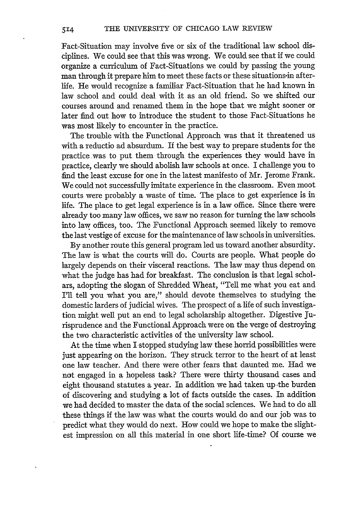Fact-Situation may involve five or six of the traditional law school disciplines. We could see that this was wrong. We could see that if we could organize a curriculum of Fact-Situations we could by passing the young man through it prepare him to meet these facts or these situations-in afterlife. He would recognize a familiar Fact-Situation that he had known in law school and could deal with it as an old friend. So we shifted our courses around and renamed them in the hope that we might sooner or later find out how to introduce the student to those Fact-Situations he was most likely to encounter in the practice.

The trouble with the Functional Approach was that it threatened us with a reductio ad absurdum. If the best way to prepare students for the practice-was to put them through the experiences they would have in practice, clearly we should abolish law schools at once. I challenge you to find the least excuse for one in the latest manifesto of Mr. Jerome Frank. We could not successfully imitate experience in the classroom. Even moot courts were probably a waste of time. The place to get experience is in life. The place to get legal experience is in a law office. Since there were already too many law offices, we saw no reason for turning the law schools into law offices, too. The Functional Approach seemed likely to remove the last vestige of excuse for the maintenance of law schools in universities.

By another route this general program led us toward another absurdity. The law is what the courts will do. Courts are people. What people do largely depends on their visceral reactions. The law may thus depend on what the judge has had for breakfast. The conclusion is that legal scholars, adopting the slogan of Shredded Wheat, "Tell me what you eat and I'll tell you what you are," should devote themselves to studying the domestic larders of judicial wives. The prospect of a life of such investigation might well put an end to legal scholarship altogether. Digestive Jurisprudence and the Functional Approach were on the verge of destroying the two characteristic activities of the university law school.

At the time when I stopped studying law these horrid possibilities were just appearing on the horizon. They struck terror to the heart of at least one law teacher. And there were other fears that daunted me. Had we not engaged in a hopeless task? There were thirty thousand cases and eight thousand statutes a year. In addition we had taken up the burden of discovering and studying a lot of facts outside the cases. In addition we had decided to master the data of the social sciences. We had to do all these things if the law was what the courts would do and our job was to predict what they would do next. How could we hope to make the slightest impression on all this material in one short life-time? Of course we

514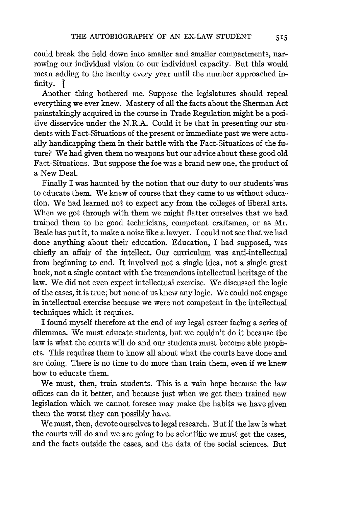could break the field down into smaller and smaller compartments, narrowing our individual vision to our individual capacity. But this would mean adding to the faculty every year until the number approached infinity.

Another thing bothered me. Suppose the legislatures should repeal everything we ever knew. Mastery of all the facts about the Sherman Act painstakingly acquired in the course in Trade Regulation might be a positive disservice under the N.R.A. Could it be that in presenting our students with Fact-Situations of the present or immediate past we were actually handicapping them in their battle with the Fact-Situations of the future? We had given them no weapons but our advice about these good old Fact-Situations. But suppose the foe was a brand new one, the product of a New Deal.

Finally I was haunted by the notion that our duty to our students'was to educate them. We knew of course that they came to us without education. We had learned not to expect any from the colleges of liberal arts. When we got through with them we might flatter ourselves that we had trained them to be good technicians, competent craftsmen, or as Mr. Beale has put it, to make a noise like a lawyer. I could not see that we had done anything about their education. Education, I had supposed, was chiefly an affair of the intellect. Our curriculum was anti-intellectual from beginning to end. It involved not a single idea, not a single great book, not a single contact with the tremendous intellectual heritage of the law. We did not even expect intellectual exercise. We discussed the logic of the cases, it is true; but none of us knew any logic. We could not engage in intellectual exercise because we were not competent in the intellectual techniques which it requires.

I found myself therefore at the end of my legal career facing a series of dilemmas. We must educate students, but we couldn't do it because the law is what the courts will do and our students must become able prophets. This requires them to know all about what the courts have done and are doing. There is no time to do more than train them, even if we knew how to educate them.

We must, then, train students. This is a vain hope because the law offices can do it better, and because just when we get them trained new legislation which we cannot foresee may make the habits we have given them the worst they can possibly have.

We must, then, devote ourselves to legal research. But if the law is what the courts will do and we are going to be scientific we must get the cases, and the facts outside the cases, and the data of the social sciences. But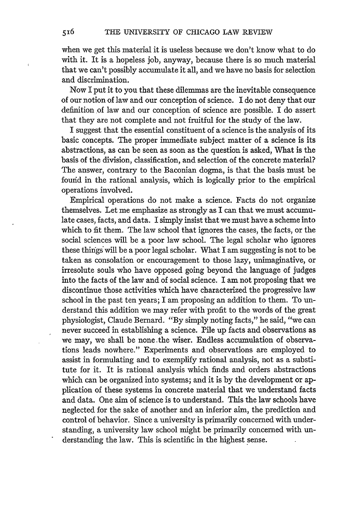when we get this material it is useless because we don't know what to do with it. It is a hopeless job, anyway, because there is so much material that we can't possibly accumulate it all, and we have no basis for selection and discrimination.

Now I put it to you that these dilemmas are the inevitable consequence of our notion of law and our conception of science. I do not deny that our definition of law and our conception of science are possible. I do assert that they are not complete and not fruitful for the study of the law.

I suggest that the essential constituent of a science is the analysis of its basic concepts. The proper immediate subject matter of a science is its abstractions, as can be seen as soon as the question is asked, What is the basis of the division, classification, and selection of the concrete material? The answer, contrary to the Baconian dogma, is that the basis must be found in the rational analysis, which is logically prior to the empirical operations involved.

Empirical operations do not make a science. Facts do not organize themselves. Let me emphasize as strongly as I can that we must accumulate cases, facts, and data. I simply insist that we must have a scheme into which to fit them. The law school that ignores the cases, the facts, or the social sciences will be a poor law school. The legal scholar who ignores these things will be a poor legal scholar. What I am suggesting is not to be taken as consolation or encouragement to those lazy, unimaginative, or irresolute souls who have opposed going beyond the language of judges into the facts of the law and of social science. I am not proposing that we discontinue those activities which have characterized the progressive law school in the past ten years; I am proposing an addition to them. To understand this addition we may refer with profit to the words of the great physiologist, Claude Bernard. "By simply noting facts," he said, "we can never succeed in establishing a science. Pile up facts and observations as we may, we shall be none.the wiser. Endless accumulation of observations leads nowhere." Experiments and observations are employed to assist in formulating and to exemplify rational analysis, not as a substitute for it. It is rational analysis which finds and orders abstractions which can be organized into systems; and it is by the development or application of these systems in concrete material that we understand facts and data. One aim of science is to understand. This the law schools have neglected for the sake of another and an inferior aim, the prediction and control of behavior. Since a university is primarily concerned with understanding, a university law school might be primarily concerned with un- derstanding the law. This is scientific in the highest sense.

516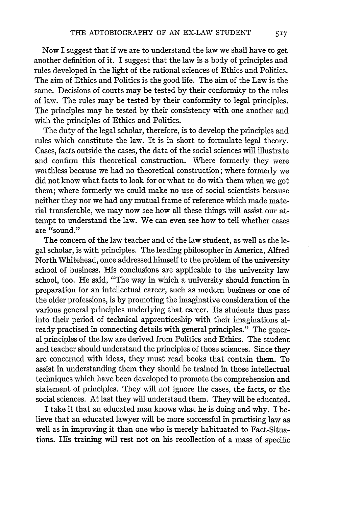Now I suggest that if we are to understand the law we shall have to get another definition of it. I suggest that the law is a body of principles and rules developed in the light of the rational sciences of Ethics and Politics. The aim of Ethics and Politics is the good life. The aim of the Law is the same. Decisions of courts may be tested by their conformity to the rules of law. The rules may be tested by their conformity to legal principles. The principles may be tested by their consistency with one another and with the principles of Ethics and Politics.

The duty of the legal scholar, therefore, is to develop the principles and rules which constitute the law. It is in short to formulate legal theory. Cases, facts outside the cases, the data of the social sciences will illustrate and confirm this theoretical construction. Where formerly they were worthless because we had no theoretical construction; where formerly we did not know what facts to look for or what to do with them when we got them; where formerly we could make no use of social scientists because neither they nor we had any mutual frame of reference which made material transferable, we may now see how all these things will assist our attempt to understand the law. We can even see how to tell whether cases are "sound."

The concern of the law teacher and of the law student, as well as the legal scholar, is with principles. The leading philosopher in America, Alfred North Whitehead, once addressed himself to the problem of the university school of business. His conclusions are applicable to the university law school, too. He said, "The way in which a university should function in preparation for an intellectual career, such as modem business or one of the older professions, is by promoting the imaginative consideration of the various general principles underlying that career. Its students thus pass into their period of technical apprenticeship with their imaginations already practised in connecting details with general principles." The general principles of the law are derived from Politics and- Ethics. The student and teacher should understand the principles of those sciences. Since they are concerned with ideas, they must read books that contain them. To assist in understanding them they should be trained in those intellectual techniques which have been developed to promote the comprehension and statement of principles. They will not ignore the cases, the facts, or the social sciences. At last they will understand them. They will be educated.

I take it that an educated man knows what he is doing and why. I believe that an educated lawyer will be more successful in practising law as well as in improving it than one who is merely habituated to Fact-Situations. His training will rest not on his recollection of a mass of specific